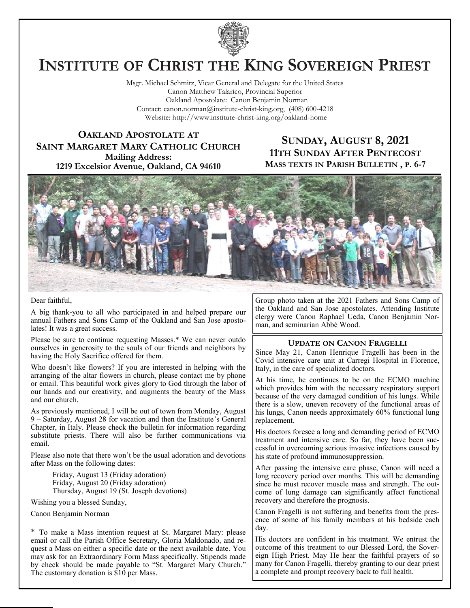

# **INSTITUTE OF CHRIST THE KING SOVEREIGN PRIEST**

Msgr. Michael Schmitz, Vicar General and Delegate for the United States Canon Matthew Talarico, Provincial Superior Oakland Apostolate: Canon Benjamin Norman Contact: canon.norman@institute-christ-king.org, (408) 600-4218 Website: http://www.institute-christ-king.org/oakland-home

**OAKLAND APOSTOLATE AT SAINT MARGARET MARY CATHOLIC CHURCH Mailing Address: 1219 Excelsior Avenue, Oakland, CA 94610**

### **SUNDAY, AUGUST 8, 2021 11TH SUNDAY AFTER PENTECOST MASS TEXTS IN PARISH BULLETIN , P. 6-7**



#### Dear faithful,

A big thank-you to all who participated in and helped prepare our annual Fathers and Sons Camp of the Oakland and San Jose apostolates! It was a great success.

Please be sure to continue requesting Masses.\* We can never outdo ourselves in generosity to the souls of our friends and neighbors by having the Holy Sacrifice offered for them.

Who doesn't like flowers? If you are interested in helping with the arranging of the altar flowers in church, please contact me by phone or email. This beautiful work gives glory to God through the labor of our hands and our creativity, and augments the beauty of the Mass and our church.

As previously mentioned, I will be out of town from Monday, August 9 – Saturday, August 28 for vacation and then the Institute's General Chapter, in Italy. Please check the bulletin for information regarding substitute priests. There will also be further communications via email.

Please also note that there won't be the usual adoration and devotions after Mass on the following dates:

Friday, August 13 (Friday adoration) Friday, August 20 (Friday adoration) Thursday, August 19 (St. Joseph devotions)

Wishing you a blessed Sunday,

Canon Benjamin Norman

\* To make a Mass intention request at St. Margaret Mary: please email or call the Parish Office Secretary, Gloria Maldonado, and request a Mass on either a specific date or the next available date. You may ask for an Extraordinary Form Mass specifically. Stipends made by check should be made payable to "St. Margaret Mary Church." The customary donation is \$10 per Mass.

Group photo taken at the 2021 Fathers and Sons Camp of the Oakland and San Jose apostolates. Attending Institute clergy were Canon Raphael Ueda, Canon Benjamin Norman, and seminarian Abbé Wood.

#### **UPDATE ON CANON FRAGELLI**

Since May 21, Canon Henrique Fragelli has been in the Covid intensive care unit at Carregi Hospital in Florence, Italy, in the care of specialized doctors.

At his time, he continues to be on the ECMO machine which provides him with the necessary respiratory support because of the very damaged condition of his lungs. While there is a slow, uneven recovery of the functional areas of his lungs, Canon needs approximately 60% functional lung replacement.

His doctors foresee a long and demanding period of ECMO treatment and intensive care. So far, they have been successful in overcoming serious invasive infections caused by his state of profound immunosuppression.

After passing the intensive care phase, Canon will need a long recovery period over months. This will be demanding since he must recover muscle mass and strength. The outcome of lung damage can significantly affect functional recovery and therefore the prognosis.

Canon Fragelli is not suffering and benefits from the presence of some of his family members at his bedside each day.

His doctors are confident in his treatment. We entrust the outcome of this treatment to our Blessed Lord, the Sovereign High Priest. May He hear the faithful prayers of so many for Canon Fragelli, thereby granting to our dear priest a complete and prompt recovery back to full health.